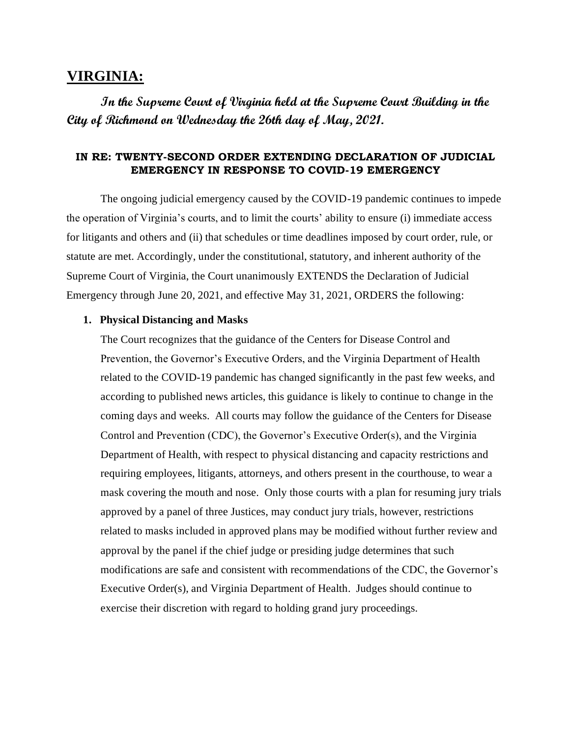# **VIRGINIA:**

**In the Supreme Court of Virginia held at the Supreme Court Building in the City of Richmond on Wednesday the 26th day of May, 2021.** 

#### **IN RE: TWENTY-SECOND ORDER EXTENDING DECLARATION OF JUDICIAL EMERGENCY IN RESPONSE TO COVID-19 EMERGENCY**

The ongoing judicial emergency caused by the COVID-19 pandemic continues to impede the operation of Virginia's courts, and to limit the courts' ability to ensure (i) immediate access for litigants and others and (ii) that schedules or time deadlines imposed by court order, rule, or statute are met. Accordingly, under the constitutional, statutory, and inherent authority of the Supreme Court of Virginia, the Court unanimously EXTENDS the Declaration of Judicial Emergency through June 20, 2021, and effective May 31, 2021, ORDERS the following:

#### **1. Physical Distancing and Masks**

The Court recognizes that the guidance of the Centers for Disease Control and Prevention, the Governor's Executive Orders, and the Virginia Department of Health related to the COVID-19 pandemic has changed significantly in the past few weeks, and according to published news articles, this guidance is likely to continue to change in the coming days and weeks. All courts may follow the guidance of the Centers for Disease Control and Prevention (CDC), the Governor's Executive Order(s), and the Virginia Department of Health, with respect to physical distancing and capacity restrictions and requiring employees, litigants, attorneys, and others present in the courthouse, to wear a mask covering the mouth and nose. Only those courts with a plan for resuming jury trials approved by a panel of three Justices, may conduct jury trials, however, restrictions related to masks included in approved plans may be modified without further review and approval by the panel if the chief judge or presiding judge determines that such modifications are safe and consistent with recommendations of the CDC, the Governor's Executive Order(s), and Virginia Department of Health. Judges should continue to exercise their discretion with regard to holding grand jury proceedings.